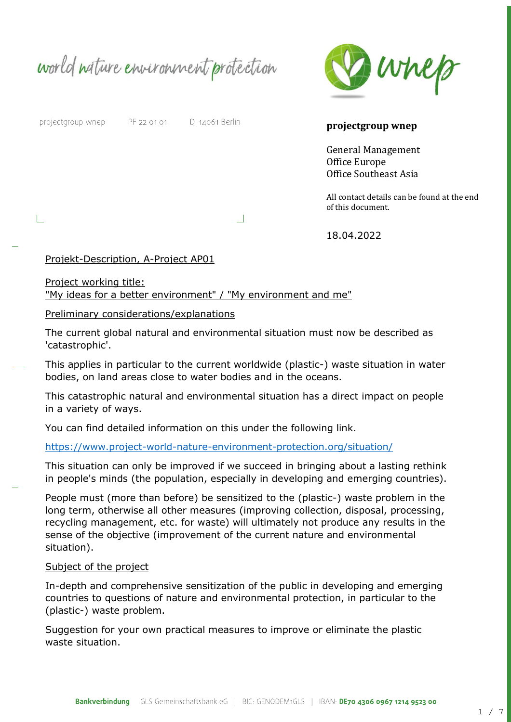world nature environment protection



projectgroup wnep

PF 22 01 01 D-14061 Berlin

**projectgroup wnep** 

General Management Office Europe Office Southeast Asia

All contact details can be found at the end of this document.

18.04.2022

## Projekt-Description, A-Project AP01

Project working title:

"My ideas for a better environment" / "My environment and me"

### Preliminary considerations/explanations

The current global natural and environmental situation must now be described as 'catastrophic'.

 $\Box$ 

This applies in particular to the current worldwide (plastic-) waste situation in water bodies, on land areas close to water bodies and in the oceans.

This catastrophic natural and environmental situation has a direct impact on people in a variety of ways.

You can find detailed information on this under the following link.

## <https://www.project-world-nature-environment-protection.org/situation/>

This situation can only be improved if we succeed in bringing about a lasting rethink in people's minds (the population, especially in developing and emerging countries).

People must (more than before) be sensitized to the (plastic-) waste problem in the long term, otherwise all other measures (improving collection, disposal, processing, recycling management, etc. for waste) will ultimately not produce any results in the sense of the objective (improvement of the current nature and environmental situation).

#### Subject of the project

In-depth and comprehensive sensitization of the public in developing and emerging countries to questions of nature and environmental protection, in particular to the (plastic-) waste problem.

Suggestion for your own practical measures to improve or eliminate the plastic waste situation.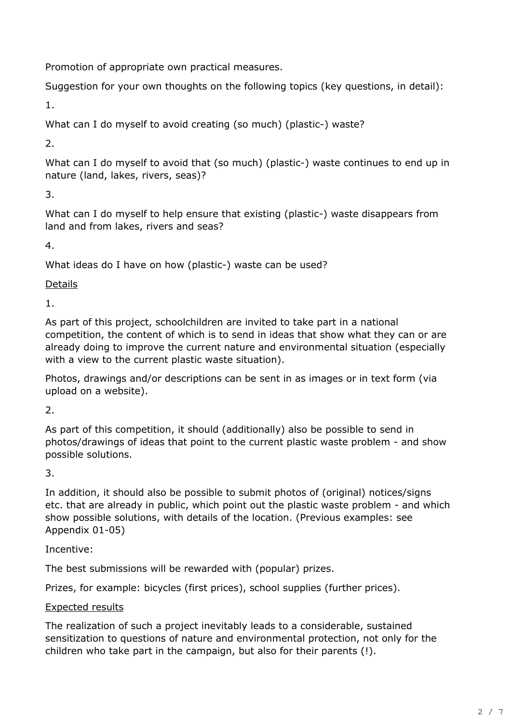Promotion of appropriate own practical measures.

Suggestion for your own thoughts on the following topics (key questions, in detail):

1.

What can I do myself to avoid creating (so much) (plastic-) waste?

2.

What can I do myself to avoid that (so much) (plastic-) waste continues to end up in nature (land, lakes, rivers, seas)?

3.

What can I do myself to help ensure that existing (plastic-) waste disappears from land and from lakes, rivers and seas?

4.

What ideas do I have on how (plastic-) waste can be used?

Details

1.

As part of this project, schoolchildren are invited to take part in a national competition, the content of which is to send in ideas that show what they can or are already doing to improve the current nature and environmental situation (especially with a view to the current plastic waste situation).

Photos, drawings and/or descriptions can be sent in as images or in text form (via upload on a website).

2.

As part of this competition, it should (additionally) also be possible to send in photos/drawings of ideas that point to the current plastic waste problem - and show possible solutions.

3.

In addition, it should also be possible to submit photos of (original) notices/signs etc. that are already in public, which point out the plastic waste problem - and which show possible solutions, with details of the location. (Previous examples: see Appendix 01-05)

Incentive:

The best submissions will be rewarded with (popular) prizes.

Prizes, for example: bicycles (first prices), school supplies (further prices).

# Expected results

The realization of such a project inevitably leads to a considerable, sustained sensitization to questions of nature and environmental protection, not only for the children who take part in the campaign, but also for their parents (!).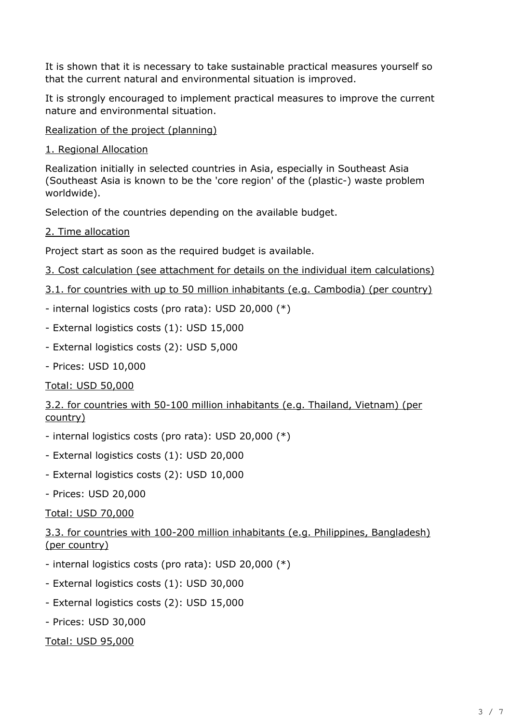It is shown that it is necessary to take sustainable practical measures yourself so that the current natural and environmental situation is improved.

It is strongly encouraged to implement practical measures to improve the current nature and environmental situation.

Realization of the project (planning)

1. Regional Allocation

Realization initially in selected countries in Asia, especially in Southeast Asia (Southeast Asia is known to be the 'core region' of the (plastic-) waste problem worldwide).

Selection of the countries depending on the available budget.

2. Time allocation

Project start as soon as the required budget is available.

```
3. Cost calculation (see attachment for details on the individual item calculations)
```
- 3.1. for countries with up to 50 million inhabitants (e.g. Cambodia) (per country)
- internal logistics costs (pro rata): USD 20,000 (\*)
- External logistics costs (1): USD 15,000
- External logistics costs (2): USD 5,000
- Prices: USD 10,000

# Total: USD 50,000

3.2. for countries with 50-100 million inhabitants (e.g. Thailand, Vietnam) (per country)

- internal logistics costs (pro rata): USD 20,000 (\*)
- External logistics costs (1): USD 20,000
- External logistics costs (2): USD 10,000
- Prices: USD 20,000

Total: USD 70,000

3.3. for countries with 100-200 million inhabitants (e.g. Philippines, Bangladesh) (per country)

- internal logistics costs (pro rata): USD 20,000 (\*)
- External logistics costs (1): USD 30,000
- External logistics costs (2): USD 15,000
- Prices: USD 30,000

Total: USD 95,000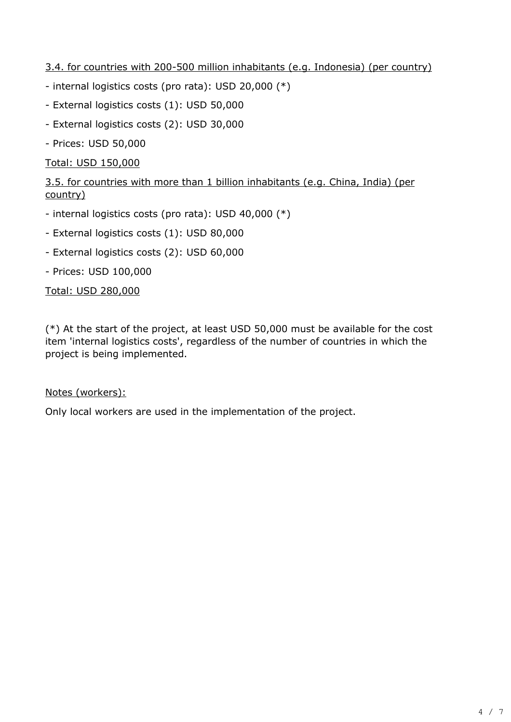3.4. for countries with 200-500 million inhabitants (e.g. Indonesia) (per country)

- internal logistics costs (pro rata): USD 20,000 (\*)
- External logistics costs (1): USD 50,000
- External logistics costs (2): USD 30,000
- Prices: USD 50,000

Total: USD 150,000

3.5. for countries with more than 1 billion inhabitants (e.g. China, India) (per country)

- internal logistics costs (pro rata): USD 40,000 (\*)
- External logistics costs (1): USD 80,000
- External logistics costs (2): USD 60,000
- Prices: USD 100,000

Total: USD 280,000

(\*) At the start of the project, at least USD 50,000 must be available for the cost item 'internal logistics costs', regardless of the number of countries in which the project is being implemented.

## Notes (workers):

Only local workers are used in the implementation of the project.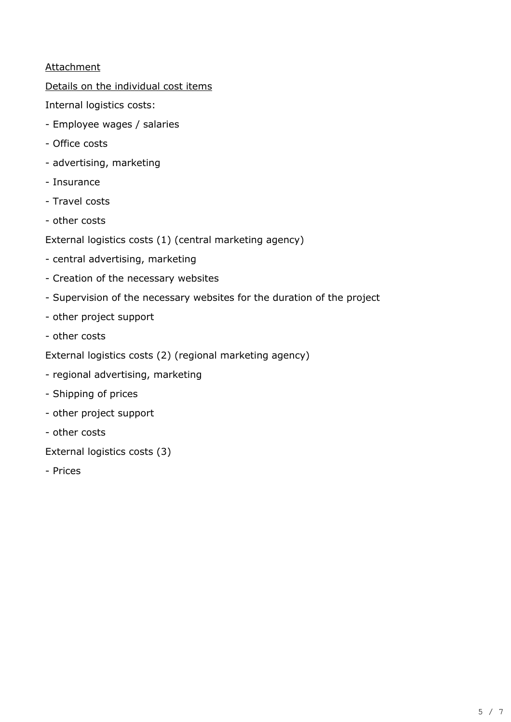# **Attachment**

Details on the individual cost items

Internal logistics costs:

- Employee wages / salaries
- Office costs
- advertising, marketing
- Insurance
- Travel costs
- other costs
- External logistics costs (1) (central marketing agency)
- central advertising, marketing
- Creation of the necessary websites
- Supervision of the necessary websites for the duration of the project
- other project support
- other costs
- External logistics costs (2) (regional marketing agency)
- regional advertising, marketing
- Shipping of prices
- other project support
- other costs

External logistics costs (3)

- Prices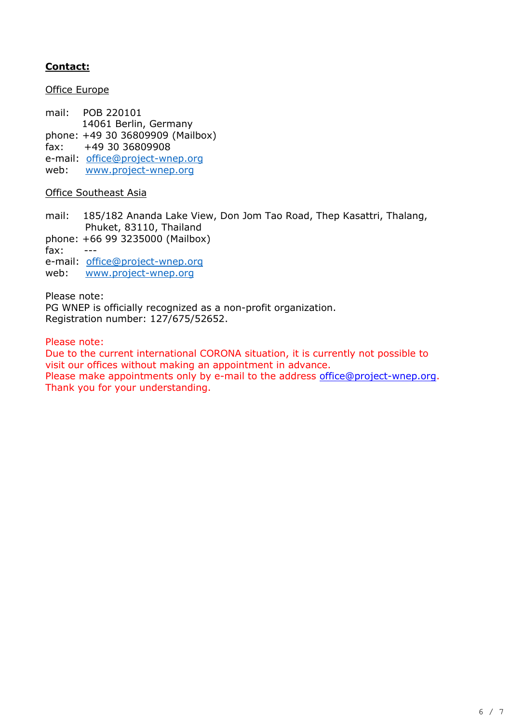# **Contact:**

Office Europe

mail: POB 220101 14061 Berlin, Germany phone: +49 30 36809909 (Mailbox) fax: +49 30 36809908 e-mail: [office@project-wnep.org](mailto:office@project-wnep.org) web: [www.project-wnep.org](http://www.project-wnep.org/)

### Office Southeast Asia

mail: 185/182 Ananda Lake View, Don Jom Tao Road, Thep Kasattri, Thalang, Phuket, 83110, Thailand

phone: +66 99 3235000 (Mailbox)

fax: ---

e-mail: [office@project-wnep.org](mailto:office@project-wnep.org)

web: [www.project-wnep.org](http://www.project-wnep.org/)

Please note:

PG WNEP is officially recognized as a non-profit organization. Registration number: 127/675/52652.

Please note:

Due to the current international CORONA situation, it is currently not possible to visit our offices without making an appointment in advance.

Please make appointments only by e-mail to the address [office@project-wnep.org.](mailto:office@project-wnep.org) Thank you for your understanding.